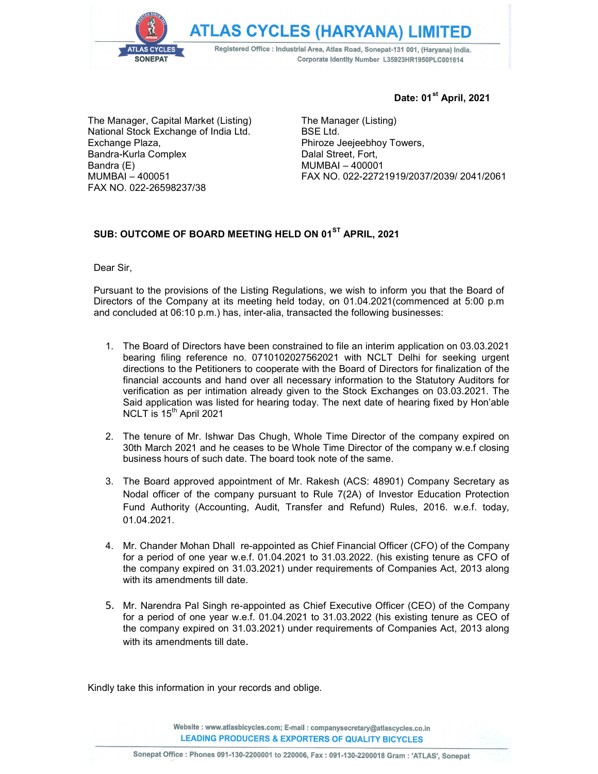**ATLAS CYCLES (HARYANA) LIMITED** 

Registered Office : Industrial Area, Atlas Road, Sonepat-131 001, (Haryana) India. Corporate Identity Number L35923HR1950PLC001614

The Manager, Capital Market (Listing) National Stock Exchange of India Ltd. Exchange Plaza, Bandra-Kurla Complex Bandra (E) MUMBAI – 400051 FAX NO. 022-26598237/38

SONEPAT

## Date: 01<sup>st</sup> April, 2021

The Manager (Listing) BSE Ltd. Phiroze Jeejeebhoy Towers, Dalal Street, Fort, MUMBAI – 400001 FAX NO. 022-22721919/2037/2039/ 2041/2061

## SUB: OUTCOME OF BOARD MEETING HELD ON 01<sup>ST</sup> APRIL, 2021

Dear Sir,

Pursuant to the provisions of the Listing Regulations, we wish to inform you that the Board of Directors of the Company at its meeting held today, on 01.04.2021(commenced at 5:00 p.m and concluded at 06:10 p.m.) has, inter-alia, transacted the following businesses:

- 1. The Board of Directors have been constrained to file an interim application on 03.03.2021 bearing filing reference no. 0710102027562021 with NCLT Delhi for seeking urgent directions to the Petitioners to cooperate with the Board of Directors for finalization of the financial accounts and hand over all necessary information to the Statutory Auditors for verification as per intimation already given to the Stock Exchanges on 03.03.2021. The Said application was listed for hearing today. The next date of hearing fixed by Hon'able NCLT is  $15<sup>th</sup>$  April 2021
- 2. The tenure of Mr. Ishwar Das Chugh, Whole Time Director of the company expired on 30th March 2021 and he ceases to be Whole Time Director of the company w.e.f closing business hours of such date. The board took note of the same.
- 3. The Board approved appointment of Mr. Rakesh (ACS: 48901) Company Secretary as Nodal officer of the company pursuant to Rule 7(2A) of Investor Education Protection Fund Authority (Accounting, Audit, Transfer and Refund) Rules, 2016. w.e.f. today, 01.04.2021.
- 4. Mr. Chander Mohan Dhall re-appointed as Chief Financial Officer (CFO) of the Company for a period of one year w.e.f. 01.04.2021 to 31.03.2022. (his existing tenure as CFO of the company expired on 31.03.2021) under requirements of Companies Act, 2013 along with its amendments till date.
- 5. Mr. Narendra Pal Singh re-appointed as Chief Executive Officer (CEO) of the Company for a period of one year w.e.f. 01.04.2021 to 31.03.2022 (his existing tenure as CEO of the company expired on 31.03.2021) under requirements of Companies Act, 2013 along with its amendments till date.

Kindly take this information in your records and oblige.

Website: www.atlasbicycles.com; E-mail: companysecretary@atlascycles.co.in **LEADING PRODUCERS & EXPORTERS OF QUALITY BICYCLES**